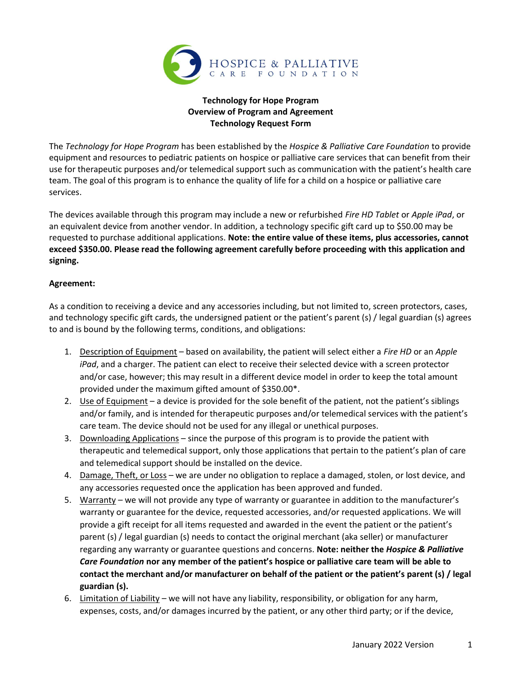

## Technology for Hope Program Overview of Program and Agreement Technology Request Form

The Technology for Hope Program has been established by the Hospice & Palliative Care Foundation to provide equipment and resources to pediatric patients on hospice or palliative care services that can benefit from their use for therapeutic purposes and/or telemedical support such as communication with the patient's health care team. The goal of this program is to enhance the quality of life for a child on a hospice or palliative care services.

The devices available through this program may include a new or refurbished Fire HD Tablet or Apple iPad, or an equivalent device from another vendor. In addition, a technology specific gift card up to \$50.00 may be requested to purchase additional applications. Note: the entire value of these items, plus accessories, cannot exceed \$350.00. Please read the following agreement carefully before proceeding with this application and signing.

## Agreement:

As a condition to receiving a device and any accessories including, but not limited to, screen protectors, cases, and technology specific gift cards, the undersigned patient or the patient's parent (s) / legal guardian (s) agrees to and is bound by the following terms, conditions, and obligations:

- 1. Description of Equipment based on availability, the patient will select either a Fire HD or an Apple iPad, and a charger. The patient can elect to receive their selected device with a screen protector and/or case, however; this may result in a different device model in order to keep the total amount provided under the maximum gifted amount of \$350.00\*.
- 2. Use of Equipment a device is provided for the sole benefit of the patient, not the patient's siblings and/or family, and is intended for therapeutic purposes and/or telemedical services with the patient's care team. The device should not be used for any illegal or unethical purposes.
- 3. Downloading Applications since the purpose of this program is to provide the patient with therapeutic and telemedical support, only those applications that pertain to the patient's plan of care and telemedical support should be installed on the device.
- 4. Damage, Theft, or Loss we are under no obligation to replace a damaged, stolen, or lost device, and any accessories requested once the application has been approved and funded.
- 5. Warranty we will not provide any type of warranty or guarantee in addition to the manufacturer's warranty or guarantee for the device, requested accessories, and/or requested applications. We will provide a gift receipt for all items requested and awarded in the event the patient or the patient's parent (s) / legal guardian (s) needs to contact the original merchant (aka seller) or manufacturer regarding any warranty or guarantee questions and concerns. Note: neither the Hospice & Palliative Care Foundation nor any member of the patient's hospice or palliative care team will be able to contact the merchant and/or manufacturer on behalf of the patient or the patient's parent (s) / legal guardian (s).
- 6. Limitation of Liability we will not have any liability, responsibility, or obligation for any harm, expenses, costs, and/or damages incurred by the patient, or any other third party; or if the device,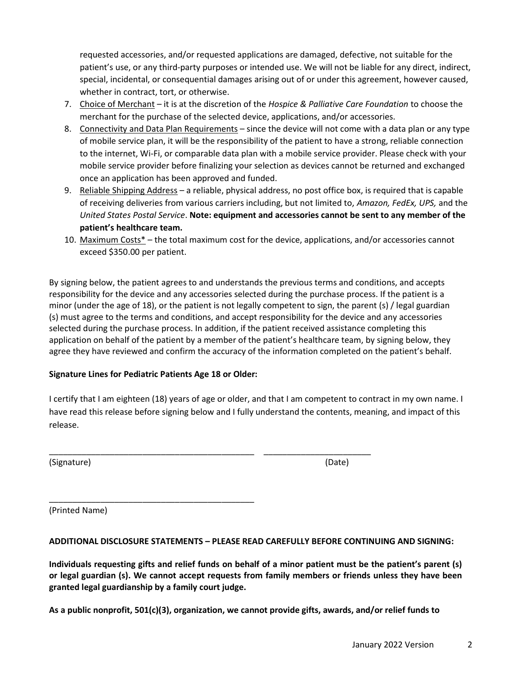requested accessories, and/or requested applications are damaged, defective, not suitable for the patient's use, or any third-party purposes or intended use. We will not be liable for any direct, indirect, special, incidental, or consequential damages arising out of or under this agreement, however caused, whether in contract, tort, or otherwise.

- 7. Choice of Merchant it is at the discretion of the Hospice & Palliative Care Foundation to choose the merchant for the purchase of the selected device, applications, and/or accessories.
- 8. Connectivity and Data Plan Requirements since the device will not come with a data plan or any type of mobile service plan, it will be the responsibility of the patient to have a strong, reliable connection to the internet, Wi-Fi, or comparable data plan with a mobile service provider. Please check with your mobile service provider before finalizing your selection as devices cannot be returned and exchanged once an application has been approved and funded.
- 9. Reliable Shipping Address a reliable, physical address, no post office box, is required that is capable of receiving deliveries from various carriers including, but not limited to, Amazon, FedEx, UPS, and the United States Postal Service. Note: equipment and accessories cannot be sent to any member of the patient's healthcare team.
- 10. Maximum Costs\* the total maximum cost for the device, applications, and/or accessories cannot exceed \$350.00 per patient.

By signing below, the patient agrees to and understands the previous terms and conditions, and accepts responsibility for the device and any accessories selected during the purchase process. If the patient is a minor (under the age of 18), or the patient is not legally competent to sign, the parent (s) / legal guardian (s) must agree to the terms and conditions, and accept responsibility for the device and any accessories selected during the purchase process. In addition, if the patient received assistance completing this application on behalf of the patient by a member of the patient's healthcare team, by signing below, they agree they have reviewed and confirm the accuracy of the information completed on the patient's behalf.

## Signature Lines for Pediatric Patients Age 18 or Older:

\_\_\_\_\_\_\_\_\_\_\_\_\_\_\_\_\_\_\_\_\_\_\_\_\_\_\_\_\_\_\_\_\_\_\_\_\_\_\_\_\_\_\_\_

I certify that I am eighteen (18) years of age or older, and that I am competent to contract in my own name. I have read this release before signing below and I fully understand the contents, meaning, and impact of this release.

\_\_\_\_\_\_\_\_\_\_\_\_\_\_\_\_\_\_\_\_\_\_\_\_\_\_\_\_\_\_\_\_\_\_\_\_\_\_\_\_\_\_\_\_ \_\_\_\_\_\_\_\_\_\_\_\_\_\_\_\_\_\_\_\_\_\_\_

(Signature) (Date)

(Printed Name)

#### ADDITIONAL DISCLOSURE STATEMENTS – PLEASE READ CAREFULLY BEFORE CONTINUING AND SIGNING:

Individuals requesting gifts and relief funds on behalf of a minor patient must be the patient's parent (s) or legal guardian (s). We cannot accept requests from family members or friends unless they have been granted legal guardianship by a family court judge.

As a public nonprofit, 501(c)(3), organization, we cannot provide gifts, awards, and/or relief funds to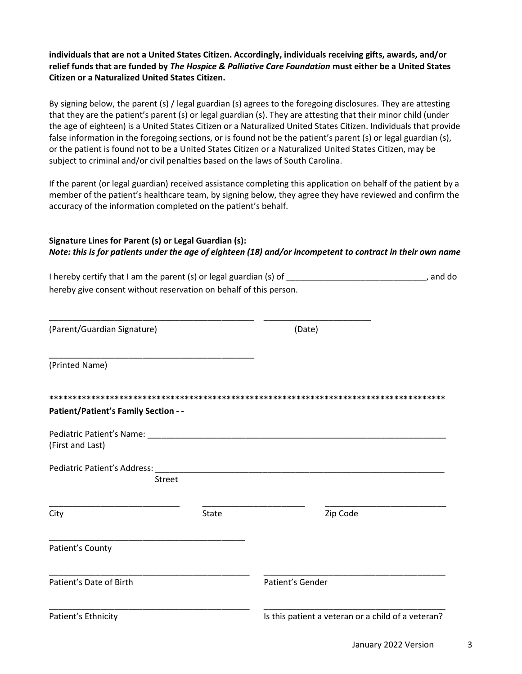individuals that are not a United States Citizen. Accordingly, individuals receiving gifts, awards, and/or relief funds that are funded by The Hospice & Palliative Care Foundation must either be a United States Citizen or a Naturalized United States Citizen.

By signing below, the parent (s) / legal guardian (s) agrees to the foregoing disclosures. They are attesting that they are the patient's parent (s) or legal guardian (s). They are attesting that their minor child (under the age of eighteen) is a United States Citizen or a Naturalized United States Citizen. Individuals that provide false information in the foregoing sections, or is found not be the patient's parent (s) or legal guardian (s), or the patient is found not to be a United States Citizen or a Naturalized United States Citizen, may be subject to criminal and/or civil penalties based on the laws of South Carolina.

If the parent (or legal guardian) received assistance completing this application on behalf of the patient by a member of the patient's healthcare team, by signing below, they agree they have reviewed and confirm the accuracy of the information completed on the patient's behalf.

#### Signature Lines for Parent (s) or Legal Guardian (s): Note: this is for patients under the age of eighteen (18) and/or incompetent to contract in their own name

I hereby certify that I am the parent (s) or legal guardian (s) of \_\_\_\_\_\_\_\_\_\_\_\_\_\_\_\_\_\_\_\_\_\_\_\_\_\_\_\_\_, and do hereby give consent without reservation on behalf of this person.

| (Parent/Guardian Signature)                                    |       | (Date)                                             |
|----------------------------------------------------------------|-------|----------------------------------------------------|
| (Printed Name)                                                 |       |                                                    |
|                                                                |       |                                                    |
| <b>Patient/Patient's Family Section - -</b>                    |       |                                                    |
| Pediatric Patient's Name: ________________<br>(First and Last) |       |                                                    |
| Pediatric Patient's Address:                                   |       |                                                    |
| <b>Street</b>                                                  |       |                                                    |
| City                                                           | State | Zip Code                                           |
| Patient's County                                               |       |                                                    |
| Patient's Date of Birth                                        |       | Patient's Gender                                   |
| Patient's Ethnicity                                            |       | Is this patient a veteran or a child of a veteran? |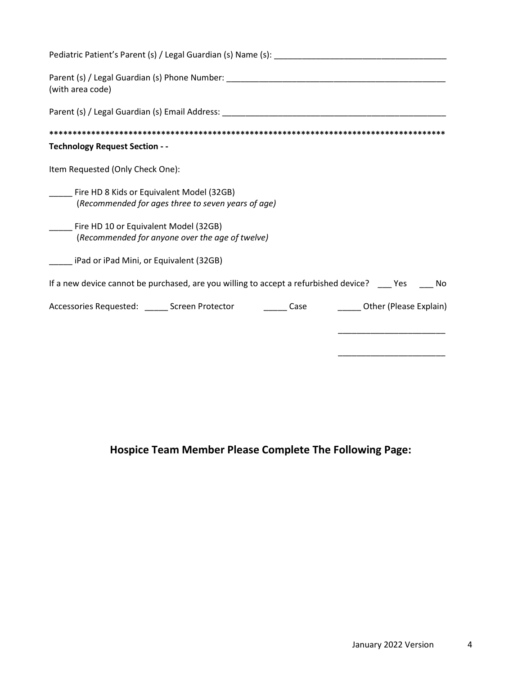| (with area code)                                                                                                |
|-----------------------------------------------------------------------------------------------------------------|
| Parent (s) / Legal Guardian (s) Email Address: Later and San Annual School and School and School and School and |
|                                                                                                                 |
| <b>Technology Request Section - -</b>                                                                           |
| Item Requested (Only Check One):                                                                                |
| Fire HD 8 Kids or Equivalent Model (32GB)<br>(Recommended for ages three to seven years of age)                 |
| Fire HD 10 or Equivalent Model (32GB)<br>(Recommended for anyone over the age of twelve)                        |
| iPad or iPad Mini, or Equivalent (32GB)                                                                         |
| If a new device cannot be purchased, are you willing to accept a refurbished device? ____ Yes _____ No          |
| Accessories Requested: ______ Screen Protector ________ Case<br>_______ Other (Please Explain)                  |
|                                                                                                                 |
|                                                                                                                 |

# Hospice Team Member Please Complete The Following Page: